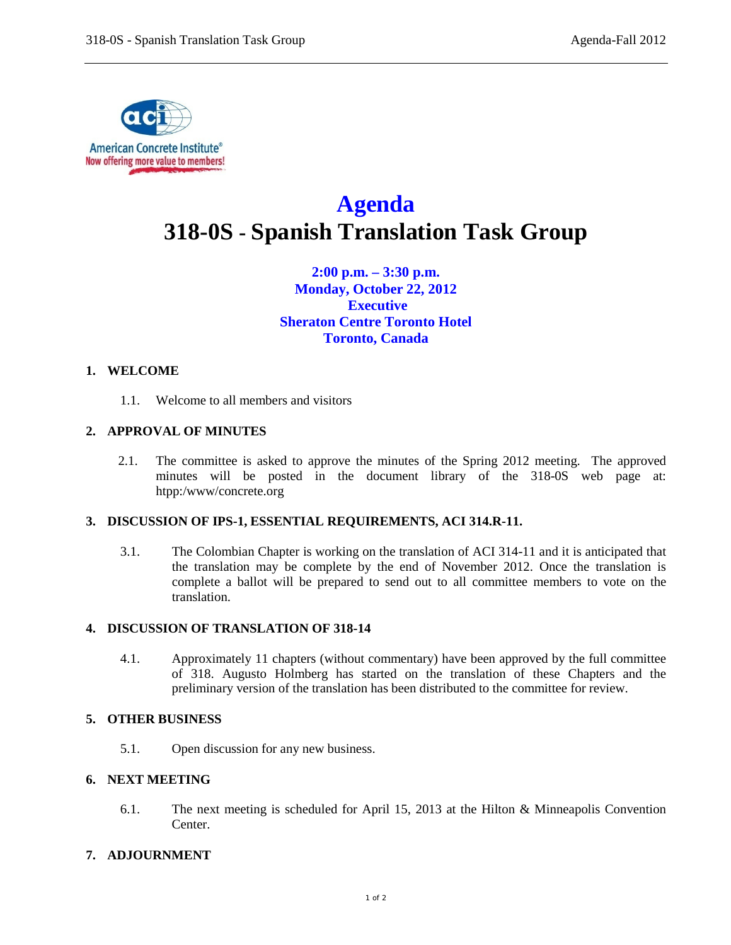

# **Agenda 318-0S - Spanish Translation Task Group**

**2:00 p.m. – 3:30 p.m. Monday, October 22, 2012 Executive Sheraton Centre Toronto Hotel Toronto, Canada**

## **1. WELCOME**

1.1. Welcome to all members and visitors

## **2. APPROVAL OF MINUTES**

2.1. The committee is asked to approve the minutes of the Spring 2012 meeting. The approved minutes will be posted in the document library of the 318-0S web page at: htpp:/www/concrete.org

## **3. DISCUSSION OF IPS-1, ESSENTIAL REQUIREMENTS, ACI 314.R-11.**

3.1. The Colombian Chapter is working on the translation of ACI 314-11 and it is anticipated that the translation may be complete by the end of November 2012. Once the translation is complete a ballot will be prepared to send out to all committee members to vote on the translation.

#### **4. DISCUSSION OF TRANSLATION OF 318-14**

4.1. Approximately 11 chapters (without commentary) have been approved by the full committee of 318. Augusto Holmberg has started on the translation of these Chapters and the preliminary version of the translation has been distributed to the committee for review.

## **5. OTHER BUSINESS**

5.1. Open discussion for any new business.

#### **6. NEXT MEETING**

6.1. The next meeting is scheduled for April 15, 2013 at the Hilton & Minneapolis Convention Center.

#### **7. ADJOURNMENT**